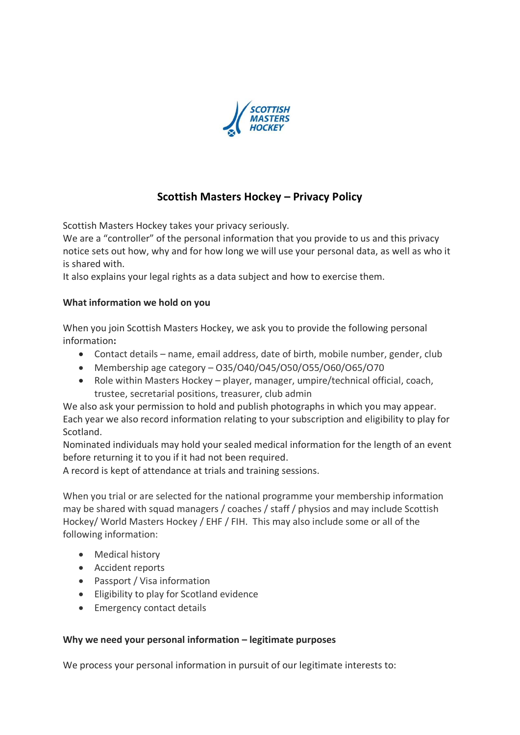

# **Scottish Masters Hockey – Privacy Policy**

Scottish Masters Hockey takes your privacy seriously.

We are a "controller" of the personal information that you provide to us and this privacy notice sets out how, why and for how long we will use your personal data, as well as who it is shared with.

It also explains your legal rights as a data subject and how to exercise them.

### **What information we hold on you**

When you join Scottish Masters Hockey, we ask you to provide the following personal information**:**

- Contact details name, email address, date of birth, mobile number, gender, club
- Membership age category O35/O40/O45/O50/O55/O60/O65/O70
- Role within Masters Hockey player, manager, umpire/technical official, coach, trustee, secretarial positions, treasurer, club admin

We also ask your permission to hold and publish photographs in which you may appear. Each year we also record information relating to your subscription and eligibility to play for Scotland.

Nominated individuals may hold your sealed medical information for the length of an event before returning it to you if it had not been required.

A record is kept of attendance at trials and training sessions.

When you trial or are selected for the national programme your membership information may be shared with squad managers / coaches / staff / physios and may include Scottish Hockey/ World Masters Hockey / EHF / FIH. This may also include some or all of the following information:

- Medical history
- Accident reports
- Passport / Visa information
- Eligibility to play for Scotland evidence
- Emergency contact details

# **Why we need your personal information – legitimate purposes**

We process your personal information in pursuit of our legitimate interests to: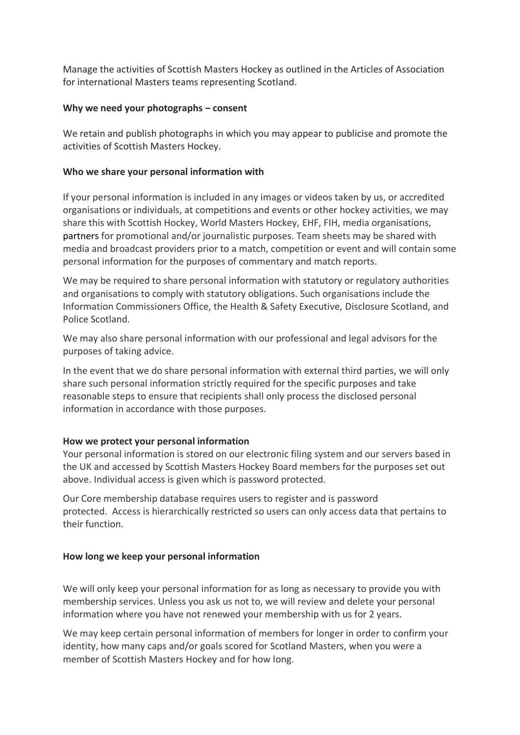Manage the activities of Scottish Masters Hockey as outlined in the Articles of Association for international Masters teams representing Scotland.

### **Why we need your photographs – consent**

We retain and publish photographs in which you may appear to publicise and promote the activities of Scottish Masters Hockey.

## **Who we share your personal information with**

If your personal information is included in any images or videos taken by us, or accredited organisations or individuals, at competitions and events or other hockey activities, we may share this with Scottish Hockey, World Masters Hockey, EHF, FIH, media organisations, partners for promotional and/or journalistic purposes. Team sheets may be shared with media and broadcast providers prior to a match, competition or event and will contain some personal information for the purposes of commentary and match reports.

We may be required to share personal information with statutory or regulatory authorities and organisations to comply with statutory obligations. Such organisations include the Information Commissioners Office, the Health & Safety Executive, Disclosure Scotland, and Police Scotland.

We may also share personal information with our professional and legal advisors for the purposes of taking advice.

In the event that we do share personal information with external third parties, we will only share such personal information strictly required for the specific purposes and take reasonable steps to ensure that recipients shall only process the disclosed personal information in accordance with those purposes.

#### **How we protect your personal information**

Your personal information is stored on our electronic filing system and our servers based in the UK and accessed by Scottish Masters Hockey Board members for the purposes set out above. Individual access is given which is password protected.

Our Core membership database requires users to register and is password protected. Access is hierarchically restricted so users can only access data that pertains to their function.

#### **How long we keep your personal information**

We will only keep your personal information for as long as necessary to provide you with membership services. Unless you ask us not to, we will review and delete your personal information where you have not renewed your membership with us for 2 years.

We may keep certain personal information of members for longer in order to confirm your identity, how many caps and/or goals scored for Scotland Masters, when you were a member of Scottish Masters Hockey and for how long.